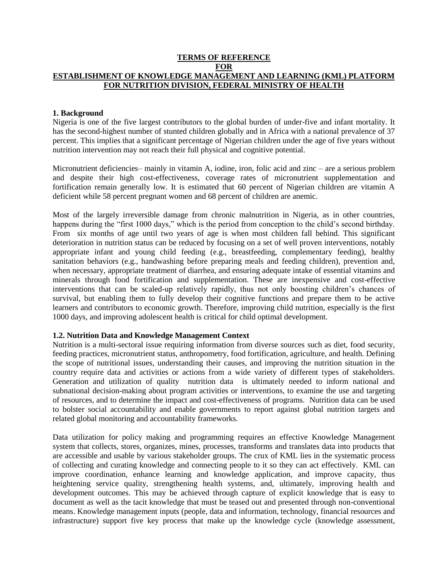### **TERMS OF REFERENCE FOR ESTABLISHMENT OF KNOWLEDGE MANAGEMENT AND LEARNING (KML) PLATFORM FOR NUTRITION DIVISION, FEDERAL MINISTRY OF HEALTH**

### **1. Background**

Nigeria is one of the five largest contributors to the global burden of under-five and infant mortality. It has the second-highest number of stunted children globally and in Africa with a national prevalence of 37 percent. This implies that a significant percentage of Nigerian children under the age of five years without nutrition intervention may not reach their full physical and cognitive potential.

Micronutrient deficiencies– mainly in vitamin A, iodine, iron, folic acid and zinc – are a serious problem and despite their high cost-effectiveness, coverage rates of micronutrient supplementation and fortification remain generally low. It is estimated that 60 percent of Nigerian children are vitamin A deficient while 58 percent pregnant women and 68 percent of children are anemic.

Most of the largely irreversible damage from chronic malnutrition in Nigeria, as in other countries, happens during the "first 1000 days," which is the period from conception to the child's second birthday. From six months of age until two years of age is when most children fall behind. This significant deterioration in nutrition status can be reduced by focusing on a set of well proven interventions, notably appropriate infant and young child feeding (e.g., breastfeeding, complementary feeding), healthy sanitation behaviors (e.g., handwashing before preparing meals and feeding children), prevention and, when necessary, appropriate treatment of diarrhea, and ensuring adequate intake of essential vitamins and minerals through food fortification and supplementation. These are inexpensive and cost-effective interventions that can be scaled-up relatively rapidly, thus not only boosting children's chances of survival, but enabling them to fully develop their cognitive functions and prepare them to be active learners and contributors to economic growth. Therefore, improving child nutrition, especially is the first 1000 days, and improving adolescent health is critical for child optimal development.

### **1.2. Nutrition Data and Knowledge Management Context**

Nutrition is a multi-sectoral issue requiring information from diverse sources such as diet, food security, feeding practices, micronutrient status, anthropometry, food fortification, agriculture, and health. Defining the scope of nutritional issues, understanding their causes, and improving the nutrition situation in the country require data and activities or actions from a wide variety of different types of stakeholders. Generation and utilization of quality nutrition data is ultimately needed to inform national and subnational decision-making about program activities or interventions, to examine the use and targeting of resources, and to determine the impact and cost-effectiveness of programs. Nutrition data can be used to bolster social accountability and enable governments to report against global nutrition targets and related global monitoring and accountability frameworks.

Data utilization for policy making and programming requires an effective Knowledge Management system that collects, stores, organizes, mines, processes, transforms and translates data into products that are accessible and usable by various stakeholder groups. The crux of KML lies in the systematic process of collecting and curating knowledge and connecting people to it so they can act effectively. KML can improve coordination, enhance learning and knowledge application, and improve capacity, thus heightening service quality, strengthening health systems, and, ultimately, improving health and development outcomes. This may be achieved through capture of explicit knowledge that is easy to document as well as the tacit knowledge that must be teased out and presented through non-conventional means. Knowledge management inputs (people, data and information, technology, financial resources and infrastructure) support five key process that make up the knowledge cycle (knowledge assessment,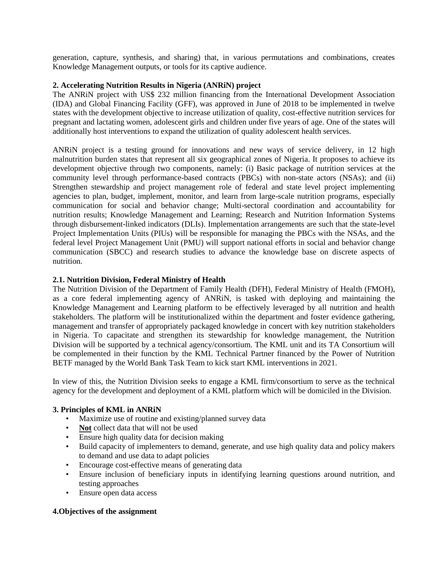generation, capture, synthesis, and sharing) that, in various permutations and combinations, creates Knowledge Management outputs, or tools for its captive audience.

## **2. Accelerating Nutrition Results in Nigeria (ANRiN) project**

The ANRiN project with US\$ 232 million financing from the International Development Association (IDA) and Global Financing Facility (GFF), was approved in June of 2018 to be implemented in twelve states with the development objective to increase utilization of quality, cost-effective nutrition services for pregnant and lactating women, adolescent girls and children under five years of age. One of the states will additionally host interventions to expand the utilization of quality adolescent health services.

ANRiN project is a testing ground for innovations and new ways of service delivery, in 12 high malnutrition burden states that represent all six geographical zones of Nigeria. It proposes to achieve its development objective through two components, namely: (i) Basic package of nutrition services at the community level through performance-based contracts (PBCs) with non-state actors (NSAs); and (ii) Strengthen stewardship and project management role of federal and state level project implementing agencies to plan, budget, implement, monitor, and learn from large-scale nutrition programs, especially communication for social and behavior change; Multi-sectoral coordination and accountability for nutrition results; Knowledge Management and Learning; Research and Nutrition Information Systems through disbursement-linked indicators (DLIs). Implementation arrangements are such that the state-level Project Implementation Units (PIUs) will be responsible for managing the PBCs with the NSAs, and the federal level Project Management Unit (PMU) will support national efforts in social and behavior change communication (SBCC) and research studies to advance the knowledge base on discrete aspects of nutrition.

## **2.1. Nutrition Division, Federal Ministry of Health**

The Nutrition Division of the Department of Family Health (DFH), Federal Ministry of Health (FMOH), as a core federal implementing agency of ANRiN, is tasked with deploying and maintaining the Knowledge Management and Learning platform to be effectively leveraged by all nutrition and health stakeholders. The platform will be institutionalized within the department and foster evidence gathering, management and transfer of appropriately packaged knowledge in concert with key nutrition stakeholders in Nigeria. To capacitate and strengthen its stewardship for knowledge management, the Nutrition Division will be supported by a technical agency/consortium. The KML unit and its TA Consortium will be complemented in their function by the KML Technical Partner financed by the Power of Nutrition BETF managed by the World Bank Task Team to kick start KML interventions in 2021.

In view of this, the Nutrition Division seeks to engage a KML firm/consortium to serve as the technical agency for the development and deployment of a KML platform which will be domiciled in the Division.

# **3. Principles of KML in ANRiN**

- Maximize use of routine and existing/planned survey data
- Not collect data that will not be used
- Ensure high quality data for decision making
- Build capacity of implementers to demand, generate, and use high quality data and policy makers to demand and use data to adapt policies
- Encourage cost-effective means of generating data
- Ensure inclusion of beneficiary inputs in identifying learning questions around nutrition, and testing approaches
- Ensure open data access

# **4.Objectives of the assignment**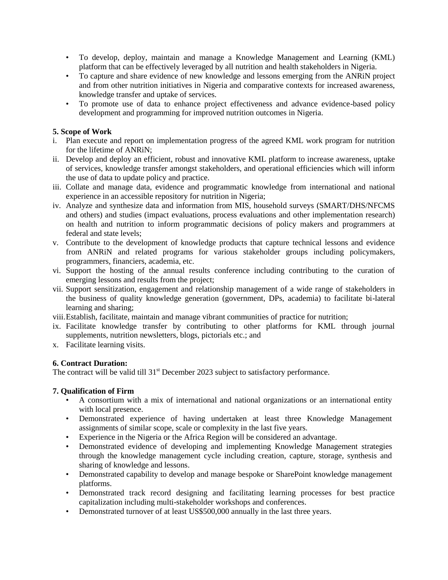- To develop, deploy, maintain and manage a Knowledge Management and Learning (KML) platform that can be effectively leveraged by all nutrition and health stakeholders in Nigeria.
- To capture and share evidence of new knowledge and lessons emerging from the ANRiN project and from other nutrition initiatives in Nigeria and comparative contexts for increased awareness, knowledge transfer and uptake of services.
- To promote use of data to enhance project effectiveness and advance evidence-based policy development and programming for improved nutrition outcomes in Nigeria.

## **5. Scope of Work**

- i. Plan execute and report on implementation progress of the agreed KML work program for nutrition for the lifetime of ANRiN;
- ii. Develop and deploy an efficient, robust and innovative KML platform to increase awareness, uptake of services, knowledge transfer amongst stakeholders, and operational efficiencies which will inform the use of data to update policy and practice.
- iii. Collate and manage data, evidence and programmatic knowledge from international and national experience in an accessible repository for nutrition in Nigeria;
- iv. Analyze and synthesize data and information from MIS, household surveys (SMART/DHS/NFCMS and others) and studies (impact evaluations, process evaluations and other implementation research) on health and nutrition to inform programmatic decisions of policy makers and programmers at federal and state levels;
- v. Contribute to the development of knowledge products that capture technical lessons and evidence from ANRiN and related programs for various stakeholder groups including policymakers, programmers, financiers, academia, etc.
- vi. Support the hosting of the annual results conference including contributing to the curation of emerging lessons and results from the project;
- vii. Support sensitization, engagement and relationship management of a wide range of stakeholders in the business of quality knowledge generation (government, DPs, academia) to facilitate bi-lateral learning and sharing;
- viii.Establish, facilitate, maintain and manage vibrant communities of practice for nutrition;
- ix. Facilitate knowledge transfer by contributing to other platforms for KML through journal supplements, nutrition newsletters, blogs, pictorials etc.; and
- x. Facilitate learning visits.

# **6. Contract Duration:**

The contract will be valid till 31<sup>st</sup> December 2023 subject to satisfactory performance.

# **7. Qualification of Firm**

- A consortium with a mix of international and national organizations or an international entity with local presence.
- Demonstrated experience of having undertaken at least three Knowledge Management assignments of similar scope, scale or complexity in the last five years.
- Experience in the Nigeria or the Africa Region will be considered an advantage.
- Demonstrated evidence of developing and implementing Knowledge Management strategies through the knowledge management cycle including creation, capture, storage, synthesis and sharing of knowledge and lessons.
- Demonstrated capability to develop and manage bespoke or SharePoint knowledge management platforms.
- Demonstrated track record designing and facilitating learning processes for best practice capitalization including multi-stakeholder workshops and conferences.
- Demonstrated turnover of at least US\$500,000 annually in the last three years.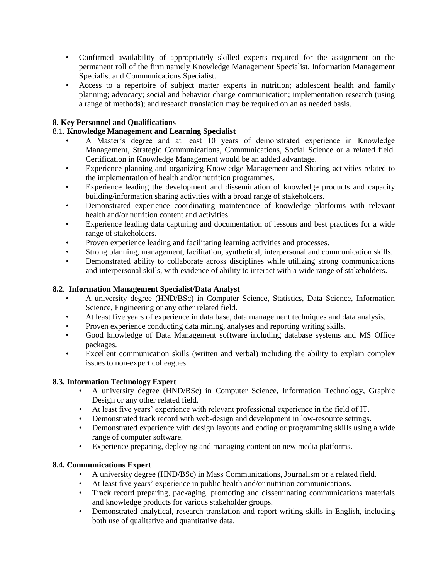- Confirmed availability of appropriately skilled experts required for the assignment on the permanent roll of the firm namely Knowledge Management Specialist, Information Management Specialist and Communications Specialist.
- Access to a repertoire of subject matter experts in nutrition; adolescent health and family planning; advocacy; social and behavior change communication; implementation research (using a range of methods); and research translation may be required on an as needed basis.

# **8. Key Personnel and Qualifications**

# 8.1**. Knowledge Management and Learning Specialist**

- A Master's degree and at least 10 years of demonstrated experience in Knowledge Management, Strategic Communications, Communications, Social Science or a related field. Certification in Knowledge Management would be an added advantage.
- Experience planning and organizing Knowledge Management and Sharing activities related to the implementation of health and/or nutrition programmes.
- Experience leading the development and dissemination of knowledge products and capacity building/information sharing activities with a broad range of stakeholders.
- Demonstrated experience coordinating maintenance of knowledge platforms with relevant health and/or nutrition content and activities.
- Experience leading data capturing and documentation of lessons and best practices for a wide range of stakeholders.
- Proven experience leading and facilitating learning activities and processes.
- Strong planning, management, facilitation, synthetical, interpersonal and communication skills.
- Demonstrated ability to collaborate across disciplines while utilizing strong communications and interpersonal skills, with evidence of ability to interact with a wide range of stakeholders.

### **8.2**. **Information Management Specialist/Data Analyst**

- A university degree (HND/BSc) in Computer Science, Statistics, Data Science, Information Science, Engineering or any other related field.
- At least five years of experience in data base, data management techniques and data analysis.
- Proven experience conducting data mining, analyses and reporting writing skills.
- Good knowledge of Data Management software including database systems and MS Office packages.
- Excellent communication skills (written and verbal) including the ability to explain complex issues to non-expert colleagues.

### **8.3. Information Technology Expert**

- A university degree (HND/BSc) in Computer Science, Information Technology, Graphic Design or any other related field.
- At least five years' experience with relevant professional experience in the field of IT.
- Demonstrated track record with web-design and development in low-resource settings.
- Demonstrated experience with design layouts and coding or programming skills using a wide range of computer software.
- Experience preparing, deploying and managing content on new media platforms.

# **8.4. Communications Expert**

- A university degree (HND/BSc) in Mass Communications, Journalism or a related field.
- At least five years' experience in public health and/or nutrition communications.
- Track record preparing, packaging, promoting and disseminating communications materials and knowledge products for various stakeholder groups.
- Demonstrated analytical, research translation and report writing skills in English, including both use of qualitative and quantitative data.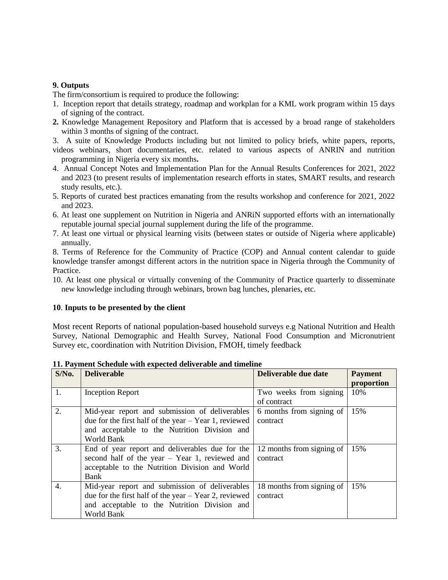### **9. Outputs**

The firm/consortium is required to produce the following:

- 1. Inception report that details strategy, roadmap and workplan for a KML work program within 15 days of signing of the contract.
- **2.** Knowledge Management Repository and Platform that is accessed by a broad range of stakeholders within 3 months of signing of the contract.
- 3. A suite of Knowledge Products including but not limited to policy briefs, white papers, reports, videos webinars, short documentaries, etc. related to various aspects of ANRIN and nutrition programming in Nigeria every six months**.**
- 4. Annual Concept Notes and Implementation Plan for the Annual Results Conferences for 2021, 2022 and 2023 (to present results of implementation research efforts in states, SMART results, and research study results, etc.).
- 5. Reports of curated best practices emanating from the results workshop and conference for 2021, 2022 and 2023.
- 6. At least one supplement on Nutrition in Nigeria and ANRiN supported efforts with an internationally reputable journal special journal supplement during the life of the programme.
- 7. At least one virtual or physical learning visits (between states or outside of Nigeria where applicable) annually.

8. Terms of Reference for the Community of Practice (COP) and Annual content calendar to guide knowledge transfer amongst different actors in the nutrition space in Nigeria through the Community of Practice.

10. At least one physical or virtually convening of the Community of Practice quarterly to disseminate new knowledge including through webinars, brown bag lunches, plenaries, etc.

### **10**. **Inputs to be presented by the client**

Most recent Reports of national population-based household surveys e.g National Nutrition and Health Survey, National Demographic and Health Survey, National Food Consumption and Micronutrient Survey etc, coordination with Nutrition Division, FMOH, timely feedback

| $S/N0$ . | <b>Deliverable</b>                                      | Deliverable due date      | <b>Payment</b> |
|----------|---------------------------------------------------------|---------------------------|----------------|
|          |                                                         |                           | proportion     |
| 1.       | <b>Inception Report</b>                                 | Two weeks from signing    | 10%            |
|          |                                                         | of contract               |                |
| 2.       | Mid-year report and submission of deliverables          | 6 months from signing of  | 15%            |
|          | due for the first half of the year $-$ Year 1, reviewed | contract                  |                |
|          | and acceptable to the Nutrition Division and            |                           |                |
|          | World Bank                                              |                           |                |
| 3.       | End of year report and deliverables due for the         | 12 months from signing of | 15%            |
|          | second half of the year $-$ Year 1, reviewed and        | contract                  |                |
|          | acceptable to the Nutrition Division and World          |                           |                |
|          | Bank                                                    |                           |                |
| 4.       | Mid-year report and submission of deliverables          | 18 months from signing of | 15%            |
|          | due for the first half of the year $-$ Year 2, reviewed | contract                  |                |
|          | and acceptable to the Nutrition Division and            |                           |                |
|          | World Bank                                              |                           |                |

### **11. Payment Schedule with expected deliverable and timeline**